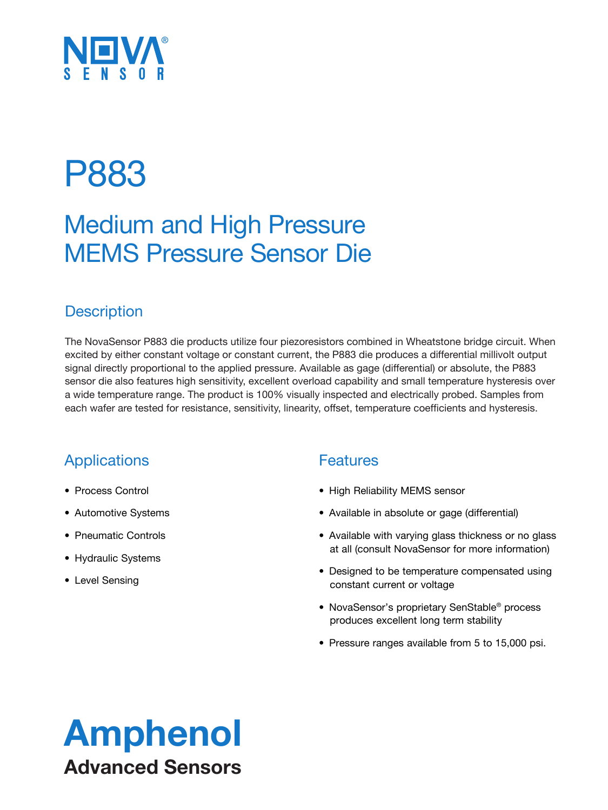# NUM<sup>®</sup>

## P883

### Medium and High Pressure MEMS Pressure Sensor Die

### **Description**

The NovaSensor P883 die products utilize four piezoresistors combined in Wheatstone bridge circuit. When excited by either constant voltage or constant current, the P883 die produces a differential millivolt output signal directly proportional to the applied pressure. Available as gage (differential) or absolute, the P883 sensor die also features high sensitivity, excellent overload capability and small temperature hysteresis over a wide temperature range. The product is 100% visually inspected and electrically probed. Samples from each wafer are tested for resistance, sensitivity, linearity, offset, temperature coefficients and hysteresis.

### **Applications**

- Process Control
- Automotive Systems
- Pneumatic Controls
- Hydraulic Systems
- Level Sensing

### Features

- High Reliability MEMS sensor
- Available in absolute or gage (differential)
- Available with varying glass thickness or no glass at all (consult NovaSensor for more information)
- Designed to be temperature compensated using constant current or voltage
- NovaSensor's proprietary SenStable® process produces excellent long term stability
- Pressure ranges available from 5 to 15,000 psi.

### Amphenol Advanced Sensors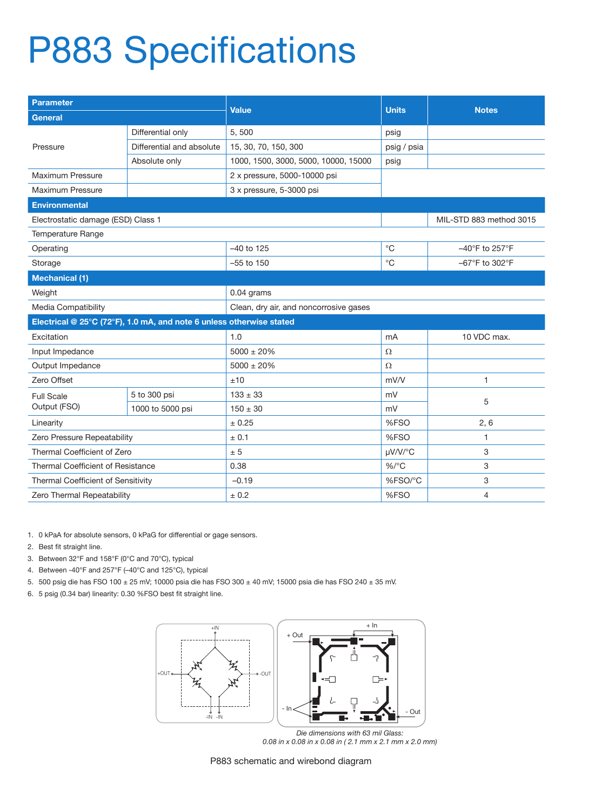# P883 Specifications

| <b>Parameter</b>                                                     |                           | Value                                  | <b>Units</b> | <b>Notes</b>            |  |  |
|----------------------------------------------------------------------|---------------------------|----------------------------------------|--------------|-------------------------|--|--|
| <b>General</b>                                                       |                           |                                        |              |                         |  |  |
|                                                                      | Differential only         | 5,500                                  | psig         |                         |  |  |
| Pressure                                                             | Differential and absolute | 15, 30, 70, 150, 300                   | psig / psia  |                         |  |  |
|                                                                      | Absolute only             | 1000, 1500, 3000, 5000, 10000, 15000   | psig         |                         |  |  |
| Maximum Pressure                                                     |                           | 2 x pressure, 5000-10000 psi           |              |                         |  |  |
| Maximum Pressure                                                     |                           | 3 x pressure, 5-3000 psi               |              |                         |  |  |
| <b>Environmental</b>                                                 |                           |                                        |              |                         |  |  |
| Electrostatic damage (ESD) Class 1                                   |                           |                                        |              | MIL-STD 883 method 3015 |  |  |
| <b>Temperature Range</b>                                             |                           |                                        |              |                         |  |  |
| Operating                                                            |                           | $-40$ to 125                           | $^{\circ}C$  | -40°F to 257°F          |  |  |
| Storage                                                              |                           | $^{\circ}C$<br>$-55$ to 150            |              | -67°F to 302°F          |  |  |
| <b>Mechanical (1)</b>                                                |                           |                                        |              |                         |  |  |
| Weight                                                               |                           | 0.04 grams                             |              |                         |  |  |
| Media Compatibility                                                  |                           | Clean, dry air, and noncorrosive gases |              |                         |  |  |
| Electrical @ 25°C (72°F), 1.0 mA, and note 6 unless otherwise stated |                           |                                        |              |                         |  |  |
| Excitation                                                           |                           | 1.0                                    | mA           | 10 VDC max.             |  |  |
| Input Impedance                                                      |                           | $5000 \pm 20\%$                        | Ω            |                         |  |  |
| Output Impedance                                                     |                           | $5000 \pm 20\%$                        | Ω            |                         |  |  |
| Zero Offset                                                          |                           | ±10                                    | mV/V         | 1                       |  |  |
| <b>Full Scale</b><br>Output (FSO)                                    | 5 to 300 psi              | $133 \pm 33$                           | mV           | 5                       |  |  |
|                                                                      | 1000 to 5000 psi          | $150 \pm 30$                           | mV           |                         |  |  |
| Linearity                                                            |                           | ± 0.25                                 | %FSO         | 2, 6                    |  |  |
| Zero Pressure Repeatability                                          |                           | ± 0.1                                  | %FSO         | 1                       |  |  |
| Thermal Coefficient of Zero                                          |                           | ± 5                                    | µV/V/°C      | 3                       |  |  |
| Thermal Coefficient of Resistance                                    |                           | 0.38                                   | $%$ /°C      | 3                       |  |  |
| Thermal Coefficient of Sensitivity                                   |                           | $-0.19$                                | %FSO/°C      | 3                       |  |  |
| Zero Thermal Repeatability                                           |                           | ± 0.2                                  | %FSO         | 4                       |  |  |

1. 0 kPaA for absolute sensors, 0 kPaG for differential or gage sensors.

- 2. Best fit straight line.
- 3. Between 32°F and 158°F (0°C and 70°C), typical
- 4. Between -40°F and 257°F (–40°C and 125°C), typical
- 5. 500 psig die has FSO 100 ± 25 mV; 10000 psia die has FSO 300 ± 40 mV; 15000 psia die has FSO 240 ± 35 mV.
- 6. 5 psig (0.34 bar) linearity: 0.30 %FSO best fit straight line.



*0.08 in x 0.08 in x 0.08 in ( 2.1 mm x 2.1 mm x 2.0 mm)*

P883 schematic and wirebond diagram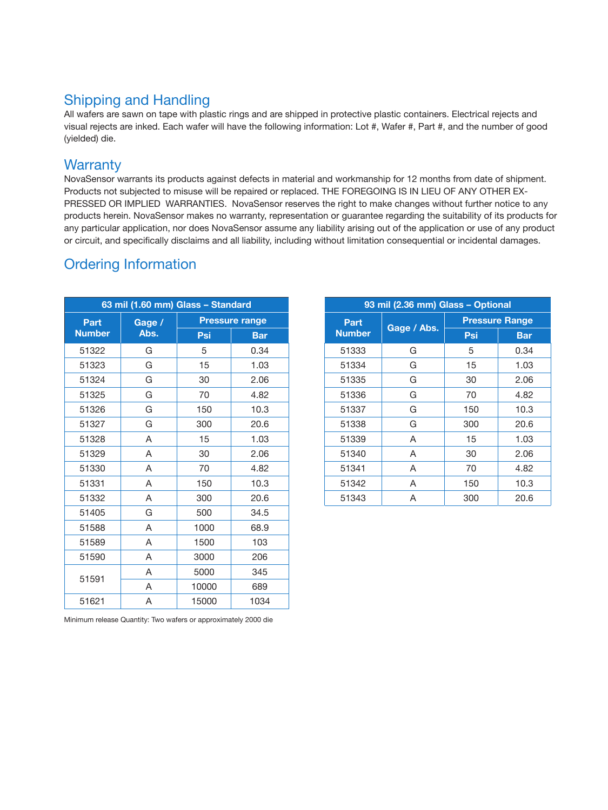### Shipping and Handling

All wafers are sawn on tape with plastic rings and are shipped in protective plastic containers. Electrical rejects and visual rejects are inked. Each wafer will have the following information: Lot #, Wafer #, Part #, and the number of good (yielded) die.

#### **Warranty**

NovaSensor warrants its products against defects in material and workmanship for 12 months from date of shipment. Products not subjected to misuse will be repaired or replaced. THE FOREGOING IS IN LIEU OF ANY OTHER EX-PRESSED OR IMPLIED WARRANTIES. NovaSensor reserves the right to make changes without further notice to any products herein. NovaSensor makes no warranty, representation or guarantee regarding the suitability of its products for any particular application, nor does NovaSensor assume any liability arising out of the application or use of any product or circuit, and specifically disclaims and all liability, including without limitation consequential or incidental damages.

### Ordering Information

| 63 mil (1.60 mm) Glass - Standard |                |       |                       |              |
|-----------------------------------|----------------|-------|-----------------------|--------------|
| Part<br><b>Number</b>             | Gage /<br>Abs. |       | <b>Pressure range</b> | Part         |
|                                   |                | Psi   | <b>Bar</b>            | <b>Numbe</b> |
| 51322                             | G              | 5     | 0.34                  | 51333        |
| 51323                             | G              | 15    | 1.03                  | 51334        |
| 51324                             | G              | 30    | 2.06                  | 51335        |
| 51325                             | G              | 70    | 4.82                  | 51336        |
| 51326                             | G              | 150   | 10.3                  | 51337        |
| 51327                             | G              | 300   | 20.6                  | 51338        |
| 51328                             | A              | 15    | 1.03                  | 51339        |
| 51329                             | A              | 30    | 2.06                  | 51340        |
| 51330                             | A              | 70    | 4.82                  | 51341        |
| 51331                             | A              | 150   | 10.3                  | 51342        |
| 51332                             | A              | 300   | 20.6                  | 51343        |
| 51405                             | G              | 500   | 34.5                  |              |
| 51588                             | A              | 1000  | 68.9                  |              |
| 51589                             | A              | 1500  | 103                   |              |
| 51590                             | A              | 3000  | 206                   |              |
| 51591                             | A              | 5000  | 345                   |              |
|                                   | A              | 10000 | 689                   |              |
| 51621                             | A              | 15000 | 1034                  |              |

| 63 mil (1.60 mm) Glass - Standard |   |     | 93 mil (2.36 mm) Glass - Optional |  |                       |             |                       |            |
|-----------------------------------|---|-----|-----------------------------------|--|-----------------------|-------------|-----------------------|------------|
| Gage /<br>Part<br>lumber<br>Abs.  |   |     | <b>Pressure range</b>             |  | Part<br><b>Number</b> | Gage / Abs. | <b>Pressure Range</b> |            |
|                                   |   | Psi | <b>Bar</b>                        |  |                       |             | Psi                   | <b>Bar</b> |
| 51322                             | G | 5   | 0.34                              |  | 51333                 | G           | 5                     | 0.34       |
| 51323                             | G | 15  | 1.03                              |  | 51334                 | G           | 15                    | 1.03       |
| 51324                             | G | 30  | 2.06                              |  | 51335                 | G           | 30                    | 2.06       |
| 51325                             | G | 70  | 4.82                              |  | 51336                 | G           | 70                    | 4.82       |
| 51326                             | G | 150 | 10.3                              |  | 51337                 | G           | 150                   | 10.3       |
| 51327                             | G | 300 | 20.6                              |  | 51338                 | G           | 300                   | 20.6       |
| 51328                             | A | 15  | 1.03                              |  | 51339                 | A           | 15                    | 1.03       |
| 51329                             | A | 30  | 2.06                              |  | 51340                 | A           | 30                    | 2.06       |
| 51330                             | A | 70  | 4.82                              |  | 51341                 | A           | 70                    | 4.82       |
| 51331                             | A | 150 | 10.3                              |  | 51342                 | A           | 150                   | 10.3       |
| 51332                             | A | 300 | 20.6                              |  | 51343                 | A           | 300                   | 20.6       |

Minimum release Quantity: Two wafers or approximately 2000 die